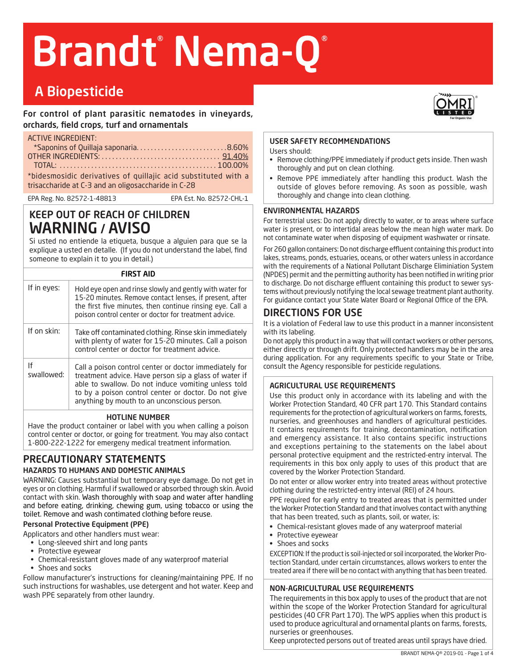# Brandt Nema-Q®

## A Biopesticide

For control of plant parasitic nematodes in vineyards, orchards, field crops, turf and ornamentals

ACTIVE INGREDIENT:

| 15                                                             |  |  |
|----------------------------------------------------------------|--|--|
| *Saponins of Quillaja saponaria8.60%                           |  |  |
|                                                                |  |  |
|                                                                |  |  |
| *bidesmosidic derivatives of quillajic acid substituted with a |  |  |
| trisaccharide at C-3 and an oligosaccharide in C-28            |  |  |
|                                                                |  |  |

EPA Reg. No. 82572-1-48813 EPA Est. No. 82572-CHL-1

## KEEP OUT OF REACH OF CHILDREN WARNING / AVISO

Si usted no entiende la etiqueta, busque a alguien para que se la explique a usted en detalle. (If you do not understand the label, find someone to explain it to you in detail.)

| <b>FIRST AID</b> |                                                                                                                                                                                                                                                                               |
|------------------|-------------------------------------------------------------------------------------------------------------------------------------------------------------------------------------------------------------------------------------------------------------------------------|
| If in eyes:      | Hold eve open and rinse slowly and gently with water for<br>15-20 minutes. Remove contact lenses, if present, after<br>the first five minutes, then continue rinsing eye. Call a<br>poison control center or doctor for treatment advice.                                     |
| If on skin:      | Take off contaminated clothing. Rinse skin immediately<br>with plenty of water for 15-20 minutes. Call a poison<br>control center or doctor for treatment advice.                                                                                                             |
| lf<br>swallowed: | Call a poison control center or doctor immediately for<br>treatment advice. Have person sip a glass of water if<br>able to swallow. Do not induce vomiting unless told<br>to by a poison control center or doctor. Do not give<br>anything by mouth to an unconscious person. |

#### HOTLINE NUMBER

Have the product container or label with you when calling a poison control center or doctor, or going for treatment. You may also contact 1-800-222-1222 for emergeny medical treatment information.

#### PRECAUTIONARY STATEMENTS HAZARDS TO HUMANS AND DOMESTIC ANIMALS

WARNING: Causes substantial but temporary eye damage. Do not get in eyes or on clothing. Harmful if swallowed or absorbed through skin. Avoid contact with skin. Wash thoroughly with soap and water after handling and before eating, drinking, chewing gum, using tobacco or using the toilet. Remove and wash contimated clothing before reuse.

#### Personal Protective Equipment (PPE)

Applicators and other handlers must wear:

- Long-sleeved shirt and long pants
- Protective eyewear
- Chemical-resistant gloves made of any waterproof material
- Shoes and socks

Follow manufacturer's instructions for cleaning/maintaining PPE. If no such instructions for washables, use detergent and hot water. Keep and wash PPE separately from other laundry.

#### USER SAFETY RECOMMENDATIONS

Users should:

- Remove clothing/PPE immediately if product gets inside. Then wash thoroughly and put on clean clothing.
- Remove PPE immediately after handling this product. Wash the outside of gloves before removing. As soon as possible, wash thoroughly and change into clean clothing.

#### ENVIRONMENTAL HAZARDS

For terrestrial uses: Do not apply directly to water, or to areas where surface water is present, or to intertidal areas below the mean high water mark. Do not contaminate water when disposing of equipment washwater or rinsate.

For 260 gallon containers: Do not discharge effluent containing this product into lakes, streams, ponds, estuaries, oceans, or other waters unless in accordance with the requirements of a National Pollutant Discharge Eliminiation System (NPDES) permit and the permitting authority has been notified in writing prior to discharge. Do not discharge effluent containing this product to sewer systems without previously notifying the local sewage treatment plant authority. For guidance contact your State Water Board or Regional Office of the EPA.

### DIRECTIONS FOR USE

It is a violation of Federal law to use this product in a manner inconsistent with its labeling.

Do not apply this product in a way that will contact workers or other persons, either directly or through drift. Only protected handlers may be in the area during application. For any requirements specific to your State or Tribe, consult the Agency responsible for pesticide regulations.

#### AGRICULTURAL USE REQUIREMENTS

Use this product only in accordance with its labeling and with the Worker Protection Standard, 40 CFR part 170. This Standard contains requirements for the protection of agricultural workers on farms, forests, nurseries, and greenhouses and handlers of agricultural pesticides. It contains requirements for training, decontamination, notification and emergency assistance. It also contains specific instructions and exceptions pertaining to the statements on the label about personal protective equipment and the restricted-entry interval. The requirements in this box only apply to uses of this product that are covered by the Worker Protection Standard.

Do not enter or allow worker entry into treated areas without protective clothing during the restricted-entry interval (REI) of 24 hours.

PPE required for early entry to treated areas that is permitted under the Worker Protection Standard and that involves contact with anything that has been treated, such as plants, soil, or water, is:

- **•** Chemical-resistant gloves made of any waterproof material
- **•** Protective eyewear
- **•** Shoes and socks

EXCEPTION: If the product is soil-injected or soil incorporated, the Worker Protection Standard, under certain circumstances, allows workers to enter the treated area if there will be no contact with anything that has been treated.

#### NON-AGRICULTURAL USE REQUIREMENTS

The requirements in this box apply to uses of the product that are not within the scope of the Worker Protection Standard for agricultural pesticides (40 CFR Part 170). The WPS applies when this product is used to produce agricultural and ornamental plants on farms, forests, nurseries or greenhouses.

Keep unprotected persons out of treated areas until sprays have dried.

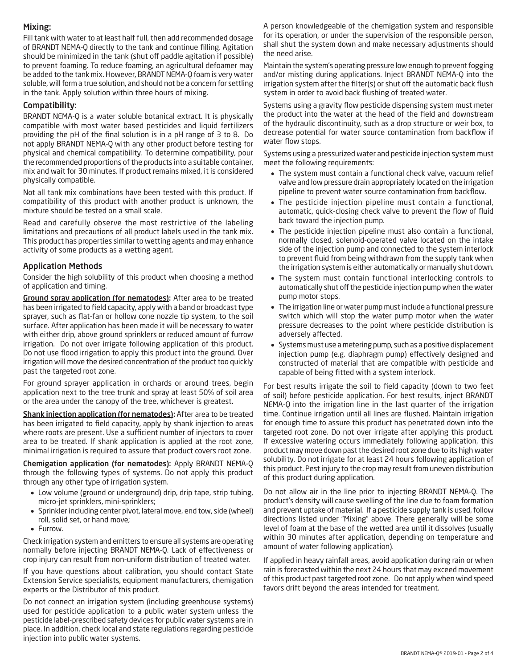#### Mixing:

Fill tank with water to at least half full, then add recommended dosage of BRANDT NEMA-Q directly to the tank and continue filling. Agitation should be minimized in the tank (shut off paddle agitation if possible) to prevent foaming. To reduce foaming, an agricultural defoamer may be added to the tank mix. However, BRANDT NEMA-Q foam is very water soluble, will form a true solution, and should not be a concern for settling in the tank. Apply solution within three hours of mixing.

#### Compatibility:

BRANDT NEMA-Q is a water soluble botanical extract. It is physically compatible with most water based pesticides and liquid fertilizers providing the pH of the final solution is in a pH range of 3 to 8. Do not apply BRANDT NEMA-Q with any other product before testing for physical and chemical compatibility. To determine compatibility, pour the recommended proportions of the products into a suitable container, mix and wait for 30 minutes. If product remains mixed, it is considered physically compatible.

Not all tank mix combinations have been tested with this product. If compatibility of this product with another product is unknown, the mixture should be tested on a small scale.

Read and carefully observe the most restrictive of the labeling limitations and precautions of all product labels used in the tank mix. This product has properties similar to wetting agents and may enhance activity of some products as a wetting agent.

#### Application Methods

Consider the high solubility of this product when choosing a method of application and timing.

Ground spray application (for nematodes): After area to be treated has been irrigated to field capacity, apply with a band or broadcast type sprayer, such as flat-fan or hollow cone nozzle tip system, to the soil surface. After application has been made it will be necessary to water with either drip, above ground sprinklers or reduced amount of furrow irrigation. Do not over irrigate following application of this product. Do not use flood irrigation to apply this product into the ground. Over irrigation will move the desired concentration of the product too quickly past the targeted root zone.

For ground sprayer application in orchards or around trees, begin application next to the tree trunk and spray at least 50% of soil area or the area under the canopy of the tree, whichever is greatest.

Shank injection application (for nematodes): After area to be treated has been irrigated to field capacity, apply by shank injection to areas where roots are present. Use a sufficient number of injectors to cover area to be treated. If shank application is applied at the root zone, minimal irrigation is required to assure that product covers root zone.

Chemigation application (for nematodes): Apply BRANDT NEMA-Q through the following types of systems. Do not apply this product through any other type of irrigation system.

- Low volume (ground or underground) drip, drip tape, strip tubing, micro-jet sprinklers, mini-sprinklers;
- Sprinkler including center pivot, lateral move, end tow, side (wheel) roll, solid set, or hand move;
- Furrow.

Check irrigation system and emitters to ensure all systems are operating normally before injecting BRANDT NEMA-Q. Lack of effectiveness or crop injury can result from non-uniform distribution of treated water.

If you have questions about calibration, you should contact State Extension Service specialists, equipment manufacturers, chemigation experts or the Distributor of this product.

Do not connect an irrigation system (including greenhouse systems) used for pesticide application to a public water system unless the pesticide label-prescribed safety devices for public water systems are in place. In addition, check local and state regulations regarding pesticide injection into public water systems.

A person knowledgeable of the chemigation system and responsible for its operation, or under the supervision of the responsible person, shall shut the system down and make necessary adjustments should the need arise.

Maintain the system's operating pressure low enough to prevent fogging and/or misting during applications. Inject BRANDT NEMA-Q into the irrigation system after the filter(s) or shut off the automatic back flush system in order to avoid back flushing of treated water.

Systems using a gravity flow pesticide dispensing system must meter the product into the water at the head of the field and downstream of the hydraulic discontinuity, such as a drop structure or weir box, to decrease potential for water source contamination from backflow if water flow stops.

Systems using a pressurized water and pesticide injection system must meet the following requirements:

- The system must contain a functional check valve, vacuum relief valve and low pressure drain appropriately located on the irrigation pipeline to prevent water source contamination from backflow.
- The pesticide injection pipeline must contain a functional, automatic, quick-closing check valve to prevent the flow of fluid back toward the injection pump.
- The pesticide injection pipeline must also contain a functional, normally closed, solenoid-operated valve located on the intake side of the injection pump and connected to the system interlock to prevent fluid from being withdrawn from the supply tank when the irrigation system is either automatically or manually shut down.
- The system must contain functional interlocking controls to automatically shut off the pesticide injection pump when the water pump motor stops.
- The irrigation line or water pump must include a functional pressure switch which will stop the water pump motor when the water pressure decreases to the point where pesticide distribution is adversely affected.
- Systems must use a metering pump, such as a positive displacement injection pump (e.g. diaphragm pump) effectively designed and constructed of material that are compatible with pesticide and capable of being fitted with a system interlock.

For best results irrigate the soil to field capacity (down to two feet of soil) before pesticide application. For best results, inject BRANDT NEMA-Q into the irrigation line in the last quarter of the irrigation time. Continue irrigation until all lines are flushed. Maintain irrigation for enough time to assure this product has penetrated down into the targeted root zone. Do not over irrigate after applying this product. If excessive watering occurs immediately following application, this product may move down past the desired root zone due to its high water solubility. Do not irrigate for at least 24 hours following application of this product. Pest injury to the crop may result from uneven distribution of this product during application.

Do not allow air in the line prior to injecting BRANDT NEMA-Q. The product's density will cause swelling of the line due to foam formation and prevent uptake of material. If a pesticide supply tank is used, follow directions listed under "Mixing" above. There generally will be some level of foam at the base of the wetted area until it dissolves (usually within 30 minutes after application, depending on temperature and amount of water following application).

If applied in heavy rainfall areas, avoid application during rain or when rain is forecasted within the next 24 hours that may exceed movement of this product past targeted root zone. Do not apply when wind speed favors drift beyond the areas intended for treatment.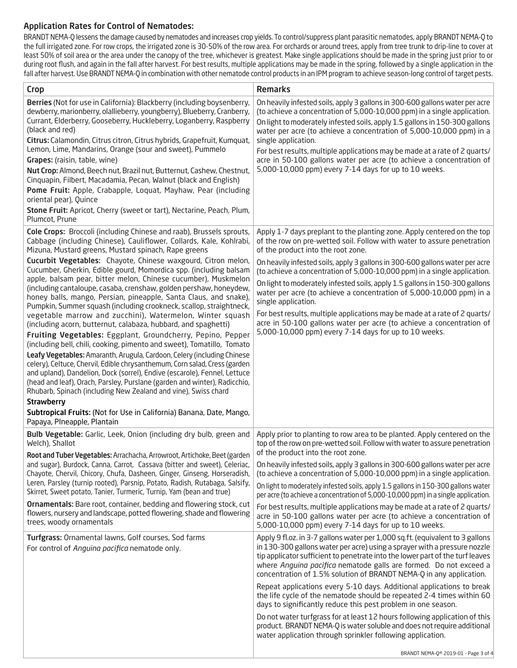#### Application Rates for Control of Nematodes:

BRANDT NEMA-Q lessens the damage caused by nematodes and increases crop yields. To control/suppress plant parasitic nematodes, apply BRANDT NEMA-Q to the full irrigated zone. For row crops, the irrigated zone is 30-50% of the row area. For orchards or around trees, apply from tree trunk to drip-line to cover at least 50% of soil area or the area under the canopy of the tree, whichever is greatest. Make single applications should be made in the spring just prior to or during root flush, and again in the fall after harvest. For best results, multiple applications may be made in the spring, followed by a single application in the fall after harvest. Use BRANDT NEMA-Q in combination with other nematode control products in an IPM program to achieve season-long control of target pests.

| <b>Crop</b>                                                                                                                                                                                                                                                                                                                                                                       | <b>Remarks</b>                                                                                                                                                                                                                                                                                                                                                                          |
|-----------------------------------------------------------------------------------------------------------------------------------------------------------------------------------------------------------------------------------------------------------------------------------------------------------------------------------------------------------------------------------|-----------------------------------------------------------------------------------------------------------------------------------------------------------------------------------------------------------------------------------------------------------------------------------------------------------------------------------------------------------------------------------------|
| Berries (Not for use in California): Blackberry (including boysenberry,<br>dewberry, marionberry, olallieberry, youngberry), Blueberry, Cranberry,<br>Currant, Elderberry, Gooseberry, Huckleberry, Loganberry, Raspberry<br>(black and red)                                                                                                                                      | On heavily infested soils, apply 3 gallons in 300-600 gallons water per acre<br>(to achieve a concentration of 5,000-10,000 ppm) in a single application.<br>On light to moderately infested soils, apply 1.5 gallons in 150-300 gallons<br>water per acre (to achieve a concentration of 5,000-10,000 ppm) in a                                                                        |
| Citrus: Calamondin, Citrus citron, Citrus hybrids, Grapefruit, Kumquat,<br>Lemon, Lime, Mandarins, Orange (sour and sweet), Pummelo                                                                                                                                                                                                                                               | single application.<br>For best results, multiple applications may be made at a rate of 2 quarts/                                                                                                                                                                                                                                                                                       |
| Grapes: (raisin, table, wine)                                                                                                                                                                                                                                                                                                                                                     | acre in 50-100 gallons water per acre (to achieve a concentration of                                                                                                                                                                                                                                                                                                                    |
| Nut Crop: Almond, Beech nut, Brazil nut, Butternut, Cashew, Chestnut,<br>Cinquapin, Filbert, Macadamia, Pecan, Walnut (black and English)                                                                                                                                                                                                                                         | 5,000-10,000 ppm) every 7-14 days for up to 10 weeks.                                                                                                                                                                                                                                                                                                                                   |
| Pome Fruit: Apple, Crabapple, Loquat, Mayhaw, Pear (including<br>oriental pear), Quince                                                                                                                                                                                                                                                                                           |                                                                                                                                                                                                                                                                                                                                                                                         |
| Stone Fruit: Apricot, Cherry (sweet or tart), Nectarine, Peach, Plum,<br>Plumcot, Prune                                                                                                                                                                                                                                                                                           |                                                                                                                                                                                                                                                                                                                                                                                         |
| Cole Crops: Broccoli (including Chinese and raab), Brussels sprouts,<br>Cabbage (including Chinese), Cauliflower, Collards, Kale, Kohlrabi,<br>Mizuna, Mustard greens, Mustard spinach, Rape greens                                                                                                                                                                               | Apply 1-7 days preplant to the planting zone. Apply centered on the top<br>of the row on pre-wetted soil. Follow with water to assure penetration<br>of the product into the root zone.                                                                                                                                                                                                 |
| Cucurbit Vegetables: Chayote, Chinese waxgourd, Citron melon,<br>Cucumber, Gherkin, Edible gourd, Momordica spp. (including balsam                                                                                                                                                                                                                                                | On heavily infested soils, apply 3 gallons in 300-600 gallons water per acre<br>(to achieve a concentration of 5,000-10,000 ppm) in a single application.                                                                                                                                                                                                                               |
| apple, balsam pear, bitter melon, Chinese cucumber), Muskmelon<br>(including cantaloupe, casaba, crenshaw, golden pershaw, honeydew,<br>honey balls, mango, Persian, pineapple, Santa Claus, and snake),<br>Pumpkin, Summer squash (including crookneck, scallop, straightneck,                                                                                                   | On light to moderately infested soils, apply 1.5 gallons in 150-300 gallons<br>water per acre (to achieve a concentration of 5,000-10,000 ppm) in a<br>single application.                                                                                                                                                                                                              |
| vegetable marrow and zucchini), Watermelon, Winter squash<br>(including acorn, butternut, calabaza, hubbard, and spaghetti)<br>Fruiting Vegetables: Eggplant, Groundcherry, Pepino, Pepper<br>(including bell, chili, cooking, pimento and sweet), Tomatillo, Tomato                                                                                                              | For best results, multiple applications may be made at a rate of 2 quarts/<br>acre in 50-100 gallons water per acre (to achieve a concentration of<br>5,000-10,000 ppm) every 7-14 days for up to 10 weeks.                                                                                                                                                                             |
| Leafy Vegetables: Amaranth, Arugula, Cardoon, Celery (including Chinese<br>celery), Celtuce, Chervil, Edible chrysanthemum, Corn salad, Cress (garden<br>and upland), Dandelion, Dock (sorrel), Endive (escarole), Fennel, Lettuce<br>(head and leaf), Orach, Parsley, Purslane (garden and winter), Radicchio,<br>Rhubarb, Spinach (including New Zealand and vine), Swiss chard |                                                                                                                                                                                                                                                                                                                                                                                         |
| <b>Strawberry</b>                                                                                                                                                                                                                                                                                                                                                                 |                                                                                                                                                                                                                                                                                                                                                                                         |
| Subtropical Fruits: (Not for Use in California) Banana, Date, Mango,<br>Papaya, PIneapple, Plantain                                                                                                                                                                                                                                                                               |                                                                                                                                                                                                                                                                                                                                                                                         |
| Bulb Vegetable: Garlic, Leek, Onion (including dry bulb, green and<br>Welch), Shallot<br>Root and Tuber Vegetables: Arrachacha, Arrowroot, Artichoke, Beet (garden                                                                                                                                                                                                                | Apply prior to planting to row area to be planted. Apply centered on the<br>top of the row on pre-wetted soil. Follow with water to assure penetration<br>of the product into the root zone.                                                                                                                                                                                            |
| and sugar), Burdock, Canna, Carrot, Cassava (bitter and sweet), Celeriac,<br>Chayote, Chervil, Chicory, Chufa, Dasheen, Ginger, Ginseng, Horseradish,                                                                                                                                                                                                                             | On heavily infested soils, apply 3 gallons in 300-600 gallons water per acre<br>(to achieve a concentration of 5,000-10,000 ppm) in a single application.                                                                                                                                                                                                                               |
| Leren, Parsley (turnip rooted), Parsnip, Potato, Radish, Rutabaga, Salsify,<br>Skirret, Sweet potato, Tanier, Turmeric, Turnip, Yam (bean and true)                                                                                                                                                                                                                               | On light to moderately infested soils, apply 1.5 gallons in 150-300 gallons water<br>per acre (to achieve a concentration of 5,000-10,000 ppm) in a single application.                                                                                                                                                                                                                 |
| Ornamentals: Bare root, container, bedding and flowering stock, cut                                                                                                                                                                                                                                                                                                               | For best results, multiple applications may be made at a rate of 2 quarts/                                                                                                                                                                                                                                                                                                              |
| flowers, nursery and landscape, potted flowering, shade and flowering<br>trees, woody ornamentals                                                                                                                                                                                                                                                                                 | acre in 50-100 gallons water per acre (to achieve a concentration of<br>5,000-10,000 ppm) every 7-14 days for up to 10 weeks.                                                                                                                                                                                                                                                           |
| Turfgrass: Ornamental lawns, Golf courses, Sod farms<br>For control of Anguina pacifica nematode only.                                                                                                                                                                                                                                                                            | Apply 9 fl.oz. in 3-7 gallons water per 1,000 sq.ft. (equivalent to 3 gallons<br>in 130-300 gallons water per acre) using a sprayer with a pressure nozzle<br>tip applicator sufficient to penetrate into the lower part of the turf leaves<br>where Anguina pacifica nematode galls are formed. Do not exceed a<br>concentration of 1.5% solution of BRANDT NEMA-Q in any application. |
|                                                                                                                                                                                                                                                                                                                                                                                   | Repeat applications every 5-10 days. Additional applications to break<br>the life cycle of the nematode should be repeated 2-4 times within 60<br>days to significantly reduce this pest problem in one season.                                                                                                                                                                         |
|                                                                                                                                                                                                                                                                                                                                                                                   | Do not water turfgrass for at least 12 hours following application of this<br>product. BRANDT NEMA-Q is water soluble and does not require additional<br>water application through sprinkler following application.                                                                                                                                                                     |
|                                                                                                                                                                                                                                                                                                                                                                                   | BRANDT NEMA-Q® 2019-01 - Page 3 of 4                                                                                                                                                                                                                                                                                                                                                    |